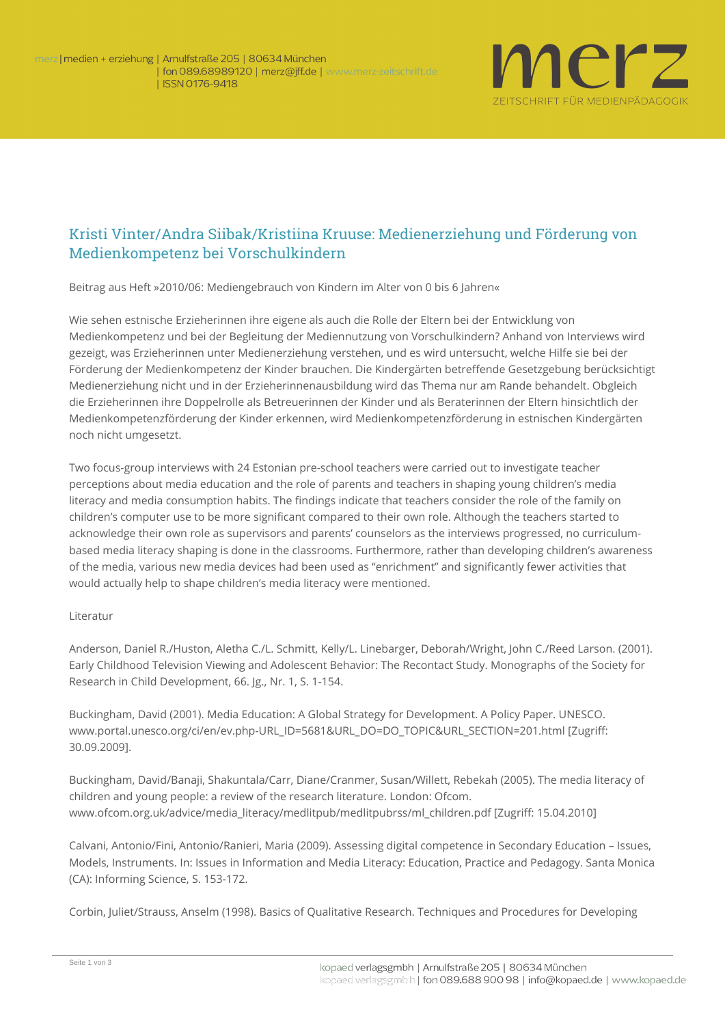

## Kristi Vinter/Andra Siibak/Kristiina Kruuse: Medienerziehung und Förderung von Medienkompetenz bei Vorschulkindern

**Beitrag aus Heft »2010/06: Mediengebrauch von Kindern im Alter von 0 bis 6 Jahren«**

Wie sehen estnische Erzieherinnen ihre eigene als auch die Rolle der Eltern bei der Entwicklung von Medienkompetenz und bei der Begleitung der Mediennutzung von Vorschulkindern? Anhand von Interviews wird gezeigt, was Erzieherinnen unter Medienerziehung verstehen, und es wird untersucht, welche Hilfe sie bei der Förderung der Medienkompetenz der Kinder brauchen. Die Kindergärten betreffende Gesetzgebung berücksichtigt Medienerziehung nicht und in der Erzieherinnenausbildung wird das Thema nur am Rande behandelt. Obgleich die Erzieherinnen ihre Doppelrolle als Betreuerinnen der Kinder und als Beraterinnen der Eltern hinsichtlich der Medienkompetenzförderung der Kinder erkennen, wird Medienkompetenzförderung in estnischen Kindergärten noch nicht umgesetzt.

Two focus-group interviews with 24 Estonian pre-school teachers were carried out to investigate teacher perceptions about media education and the role of parents and teachers in shaping young children's media literacy and media consumption habits. The findings indicate that teachers consider the role of the family on children's computer use to be more significant compared to their own role. Although the teachers started to acknowledge their own role as supervisors and parents' counselors as the interviews progressed, no curriculumbased media literacy shaping is done in the classrooms. Furthermore, rather than developing children's awareness of the media, various new media devices had been used as "enrichment" and significantly fewer activities that would actually help to shape children's media literacy were mentioned.

## **Literatur**

Anderson, Daniel R./Huston, Aletha C./L. Schmitt, Kelly/L. Linebarger, Deborah/Wright, John C./Reed Larson. (2001). Early Childhood Television Viewing and Adolescent Behavior: The Recontact Study. Monographs of the Society for Research in Child Development, 66. Jg., Nr. 1, S. 1-154.

Buckingham, David (2001). Media Education: A Global Strategy for Development. A Policy Paper. UNESCO. www.portal.unesco.org/ci/en/ev.php-URL\_ID=5681&URL\_DO=DO\_TOPIC&URL\_SECTION=201.html [Zugriff: 30.09.2009].

Buckingham, David/Banaji, Shakuntala/Carr, Diane/Cranmer, Susan/Willett, Rebekah (2005). The media literacy of children and young people: a review of the research literature. London: Ofcom. www.ofcom.org.uk/advice/media\_literacy/medlitpub/medlitpubrss/ml\_children.pdf [Zugriff: 15.04.2010]

Calvani, Antonio/Fini, Antonio/Ranieri, Maria (2009). Assessing digital competence in Secondary Education – Issues, Models, Instruments. In: Issues in Information and Media Literacy: Education, Practice and Pedagogy. Santa Monica (CA): Informing Science, S. 153-172.

Corbin, Juliet/Strauss, Anselm (1998). Basics of Qualitative Research. Techniques and Procedures for Developing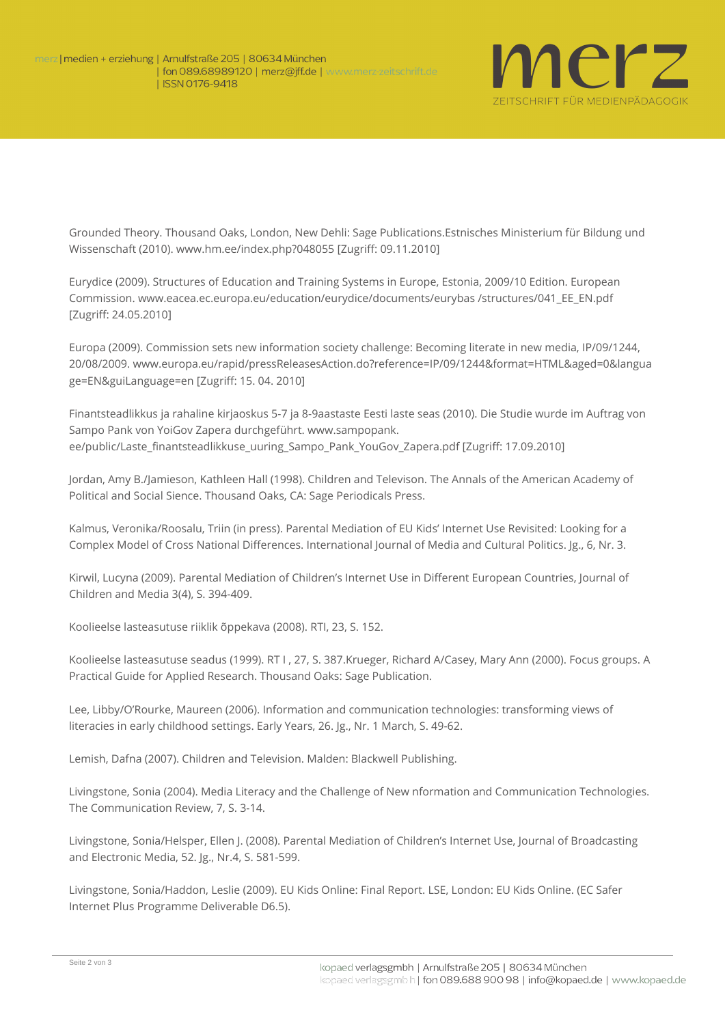

Grounded Theory. Thousand Oaks, London, New Dehli: Sage Publications.Estnisches Ministerium für Bildung und Wissenschaft (2010). www.hm.ee/index.php?048055 [Zugriff: 09.11.2010]

Eurydice (2009). Structures of Education and Training Systems in Europe, Estonia, 2009/10 Edition. European Commission. www.eacea.ec.europa.eu/education/eurydice/documents/eurybas /structures/041\_EE\_EN.pdf [Zugriff: 24.05.2010]

Europa (2009). Commission sets new information society challenge: Becoming literate in new media, IP/09/1244, 20/08/2009. www.europa.eu/rapid/pressReleasesAction.do?reference=IP/09/1244&format=HTML&aged=0&langua ge=EN&guiLanguage=en [Zugriff: 15. 04. 2010]

Finantsteadlikkus ja rahaline kirjaoskus 5-7 ja 8-9aastaste Eesti laste seas (2010). Die Studie wurde im Auftrag von Sampo Pank von YoiGov Zapera durchgeführt. www.sampopank. ee/public/Laste finantsteadlikkuse\_uuring\_Sampo\_Pank\_YouGov\_Zapera.pdf [Zugriff: 17.09.2010]

Jordan, Amy B./Jamieson, Kathleen Hall (1998). Children and Televison. The Annals of the American Academy of Political and Social Sience. Thousand Oaks, CA: Sage Periodicals Press.

Kalmus, Veronika/Roosalu, Triin (in press). Parental Mediation of EU Kids' Internet Use Revisited: Looking for a Complex Model of Cross National Differences. International Journal of Media and Cultural Politics. Jg., 6, Nr. 3.

Kirwil, Lucyna (2009). Parental Mediation of Children's Internet Use in Different European Countries, Journal of Children and Media 3(4), S. 394-409.

Koolieelse lasteasutuse riiklik õppekava (2008). RTI, 23, S. 152.

Koolieelse lasteasutuse seadus (1999). RT I , 27, S. 387.Krueger, Richard A/Casey, Mary Ann (2000). Focus groups. A Practical Guide for Applied Research. Thousand Oaks: Sage Publication.

Lee, Libby/O'Rourke, Maureen (2006). Information and communication technologies: transforming views of literacies in early childhood settings. Early Years, 26. Jg., Nr. 1 March, S. 49-62.

Lemish, Dafna (2007). Children and Television. Malden: Blackwell Publishing.

Livingstone, Sonia (2004). Media Literacy and the Challenge of New nformation and Communication Technologies. The Communication Review, 7, S. 3-14.

Livingstone, Sonia/Helsper, Ellen J. (2008). Parental Mediation of Children's Internet Use, Journal of Broadcasting and Electronic Media, 52. Jg., Nr.4, S. 581-599.

Livingstone, Sonia/Haddon, Leslie (2009). EU Kids Online: Final Report. LSE, London: EU Kids Online. (EC Safer Internet Plus Programme Deliverable D6.5).